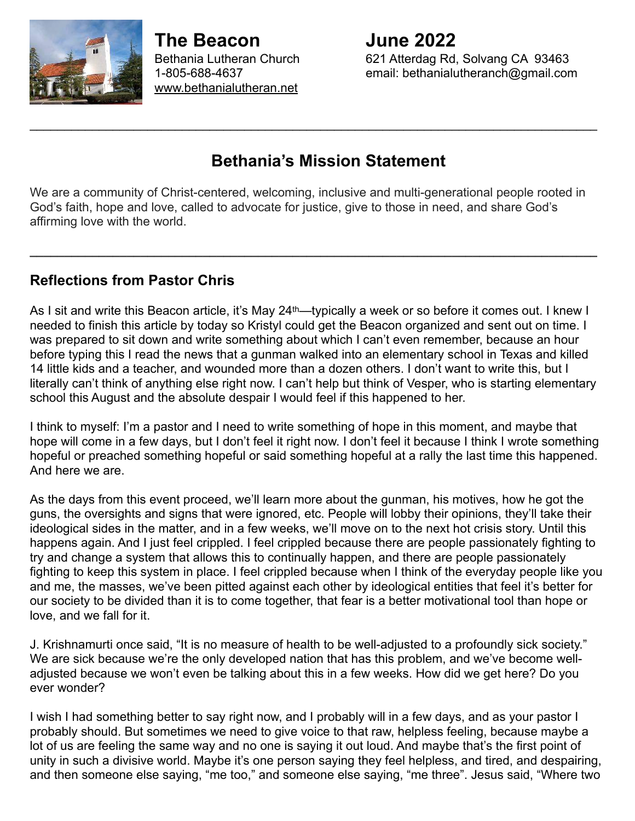

**The Beacon June 2022** [www.bethanialutheran.net](http://www.bethanialutheran.net)

Bethania Lutheran Church 621 Atterdag Rd, Solvang CA 93463 1-805-688-4637 email: bethanialutheranch@gmail.com

# **Bethania's Mission Statement**

\_\_\_\_\_\_\_\_\_\_\_\_\_\_\_\_\_\_\_\_\_\_\_\_\_\_\_\_\_\_\_\_\_\_\_\_\_\_\_\_\_\_\_\_\_\_\_\_\_\_\_\_\_\_\_\_\_\_\_\_\_\_\_\_\_\_\_\_\_\_\_\_\_\_\_\_\_\_\_\_\_\_

We are a community of Christ-centered, welcoming, inclusive and multi-generational people rooted in God's faith, hope and love, called to advocate for justice, give to those in need, and share God's affirming love with the world.

**\_\_\_\_\_\_\_\_\_\_\_\_\_\_\_\_\_\_\_\_\_\_\_\_\_\_\_\_\_\_\_\_\_\_\_\_\_\_\_\_\_\_\_\_\_\_\_\_\_\_\_\_\_\_\_\_\_\_\_\_\_\_\_\_\_\_\_\_\_\_\_\_\_\_\_\_\_\_\_\_\_\_** 

#### **Reflections from Pastor Chris**

As I sit and write this Beacon article, it's May 24<sup>th</sup>—typically a week or so before it comes out. I knew I needed to finish this article by today so Kristyl could get the Beacon organized and sent out on time. I was prepared to sit down and write something about which I can't even remember, because an hour before typing this I read the news that a gunman walked into an elementary school in Texas and killed 14 little kids and a teacher, and wounded more than a dozen others. I don't want to write this, but I literally can't think of anything else right now. I can't help but think of Vesper, who is starting elementary school this August and the absolute despair I would feel if this happened to her.

I think to myself: I'm a pastor and I need to write something of hope in this moment, and maybe that hope will come in a few days, but I don't feel it right now. I don't feel it because I think I wrote something hopeful or preached something hopeful or said something hopeful at a rally the last time this happened. And here we are.

As the days from this event proceed, we'll learn more about the gunman, his motives, how he got the guns, the oversights and signs that were ignored, etc. People will lobby their opinions, they'll take their ideological sides in the matter, and in a few weeks, we'll move on to the next hot crisis story. Until this happens again. And I just feel crippled. I feel crippled because there are people passionately fighting to try and change a system that allows this to continually happen, and there are people passionately fighting to keep this system in place. I feel crippled because when I think of the everyday people like you and me, the masses, we've been pitted against each other by ideological entities that feel it's better for our society to be divided than it is to come together, that fear is a better motivational tool than hope or love, and we fall for it.

J. Krishnamurti once said, "It is no measure of health to be well-adjusted to a profoundly sick society." We are sick because we're the only developed nation that has this problem, and we've become welladjusted because we won't even be talking about this in a few weeks. How did we get here? Do you ever wonder?

I wish I had something better to say right now, and I probably will in a few days, and as your pastor I probably should. But sometimes we need to give voice to that raw, helpless feeling, because maybe a lot of us are feeling the same way and no one is saying it out loud. And maybe that's the first point of unity in such a divisive world. Maybe it's one person saying they feel helpless, and tired, and despairing, and then someone else saying, "me too," and someone else saying, "me three". Jesus said, "Where two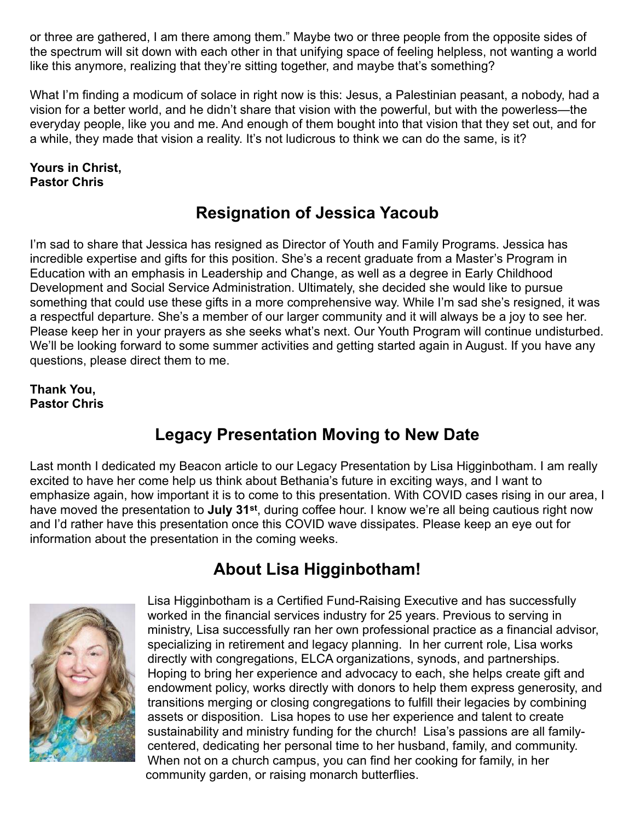or three are gathered, I am there among them." Maybe two or three people from the opposite sides of the spectrum will sit down with each other in that unifying space of feeling helpless, not wanting a world like this anymore, realizing that they're sitting together, and maybe that's something?

What I'm finding a modicum of solace in right now is this: Jesus, a Palestinian peasant, a nobody, had a vision for a better world, and he didn't share that vision with the powerful, but with the powerless—the everyday people, like you and me. And enough of them bought into that vision that they set out, and for a while, they made that vision a reality. It's not ludicrous to think we can do the same, is it?

#### **Yours in Christ, Pastor Chris**

# **Resignation of Jessica Yacoub**

I'm sad to share that Jessica has resigned as Director of Youth and Family Programs. Jessica has incredible expertise and gifts for this position. She's a recent graduate from a Master's Program in Education with an emphasis in Leadership and Change, as well as a degree in Early Childhood Development and Social Service Administration. Ultimately, she decided she would like to pursue something that could use these gifts in a more comprehensive way. While I'm sad she's resigned, it was a respectful departure. She's a member of our larger community and it will always be a joy to see her. Please keep her in your prayers as she seeks what's next. Our Youth Program will continue undisturbed. We'll be looking forward to some summer activities and getting started again in August. If you have any questions, please direct them to me.

#### **Thank You, Pastor Chris**

# **Legacy Presentation Moving to New Date**

Last month I dedicated my Beacon article to our Legacy Presentation by Lisa Higginbotham. I am really excited to have her come help us think about Bethania's future in exciting ways, and I want to emphasize again, how important it is to come to this presentation. With COVID cases rising in our area, I have moved the presentation to **July 31st**, during coffee hour. I know we're all being cautious right now and I'd rather have this presentation once this COVID wave dissipates. Please keep an eye out for information about the presentation in the coming weeks.

# **About Lisa Higginbotham!**



Lisa Higginbotham is a Certified Fund-Raising Executive and has successfully worked in the financial services industry for 25 years. Previous to serving in ministry, Lisa successfully ran her own professional practice as a financial advisor, specializing in retirement and legacy planning. In her current role, Lisa works directly with congregations, ELCA organizations, synods, and partnerships. Hoping to bring her experience and advocacy to each, she helps create gift and endowment policy, works directly with donors to help them express generosity, and transitions merging or closing congregations to fulfill their legacies by combining assets or disposition. Lisa hopes to use her experience and talent to create sustainability and ministry funding for the church! Lisa's passions are all familycentered, dedicating her personal time to her husband, family, and community. When not on a church campus, you can find her cooking for family, in her community garden, or raising monarch butterflies.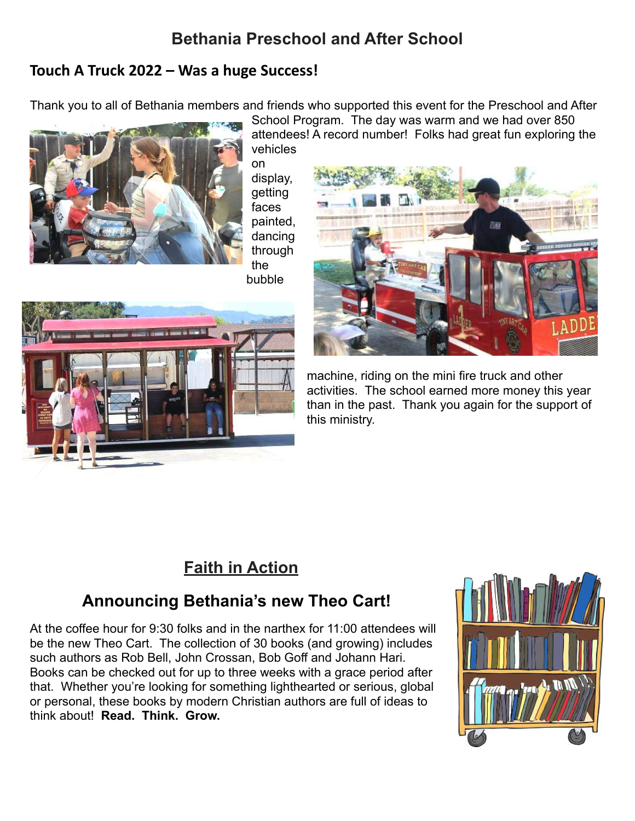# **Bethania Preschool and After School**

#### **Touch A Truck 2022 – Was a huge Success!**

Thank you to all of Bethania members and friends who supported this event for the Preschool and After School Program. The day was warm and we had over 850



vehicles on display, getting faces painted, dancing through the bubble





attendees! A record number! Folks had great fun exploring the

machine, riding on the mini fire truck and other activities. The school earned more money this year than in the past. Thank you again for the support of this ministry.

# **Faith in Action**

# **Announcing Bethania's new Theo Cart!**

At the coffee hour for 9:30 folks and in the narthex for 11:00 attendees will be the new Theo Cart. The collection of 30 books (and growing) includes such authors as Rob Bell, John Crossan, Bob Goff and Johann Hari. Books can be checked out for up to three weeks with a grace period after that. Whether you're looking for something lighthearted or serious, global or personal, these books by modern Christian authors are full of ideas to think about! **Read. Think. Grow.** 

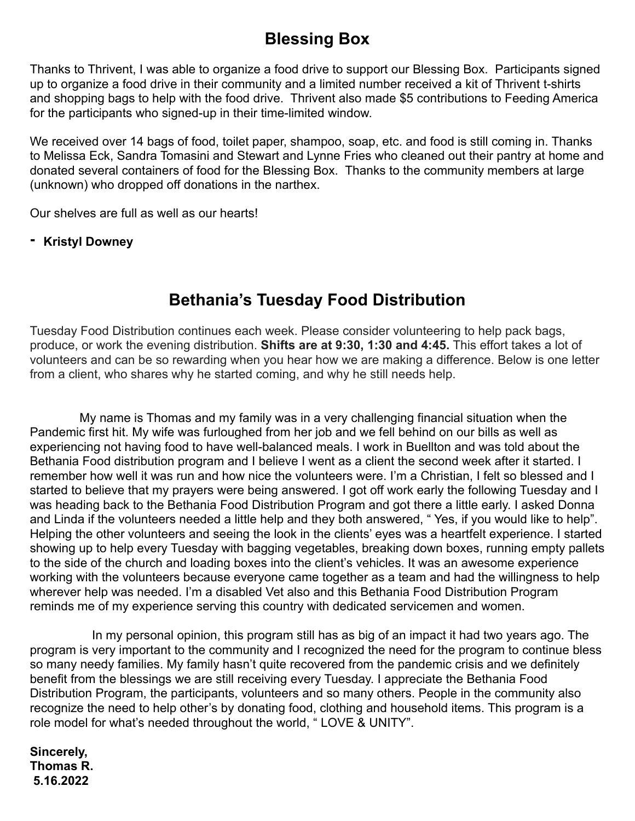# **Blessing Box**

Thanks to Thrivent, I was able to organize a food drive to support our Blessing Box. Participants signed up to organize a food drive in their community and a limited number received a kit of Thrivent t-shirts and shopping bags to help with the food drive. Thrivent also made \$5 contributions to Feeding America for the participants who signed-up in their time-limited window.

We received over 14 bags of food, toilet paper, shampoo, soap, etc. and food is still coming in. Thanks to Melissa Eck, Sandra Tomasini and Stewart and Lynne Fries who cleaned out their pantry at home and donated several containers of food for the Blessing Box. Thanks to the community members at large (unknown) who dropped off donations in the narthex.

Our shelves are full as well as our hearts!

**- Kristyl Downey** 

# **Bethania's Tuesday Food Distribution**

Tuesday Food Distribution continues each week. Please consider volunteering to help pack bags, produce, or work the evening distribution. **Shifts are at 9:30, 1:30 and 4:45.** This effort takes a lot of volunteers and can be so rewarding when you hear how we are making a difference. Below is one letter from a client, who shares why he started coming, and why he still needs help.

My name is Thomas and my family was in a very challenging financial situation when the Pandemic first hit. My wife was furloughed from her job and we fell behind on our bills as well as experiencing not having food to have well-balanced meals. I work in Buellton and was told about the Bethania Food distribution program and I believe I went as a client the second week after it started. I remember how well it was run and how nice the volunteers were. I'm a Christian, I felt so blessed and I started to believe that my prayers were being answered. I got off work early the following Tuesday and I was heading back to the Bethania Food Distribution Program and got there a little early. I asked Donna and Linda if the volunteers needed a little help and they both answered, " Yes, if you would like to help". Helping the other volunteers and seeing the look in the clients' eyes was a heartfelt experience. I started showing up to help every Tuesday with bagging vegetables, breaking down boxes, running empty pallets to the side of the church and loading boxes into the client's vehicles. It was an awesome experience working with the volunteers because everyone came together as a team and had the willingness to help wherever help was needed. I'm a disabled Vet also and this Bethania Food Distribution Program reminds me of my experience serving this country with dedicated servicemen and women.

 In my personal opinion, this program still has as big of an impact it had two years ago. The program is very important to the community and I recognized the need for the program to continue bless so many needy families. My family hasn't quite recovered from the pandemic crisis and we definitely benefit from the blessings we are still receiving every Tuesday. I appreciate the Bethania Food Distribution Program, the participants, volunteers and so many others. People in the community also recognize the need to help other's by donating food, clothing and household items. This program is a role model for what's needed throughout the world, " LOVE & UNITY".

**Sincerely, Thomas R. 5.16.2022**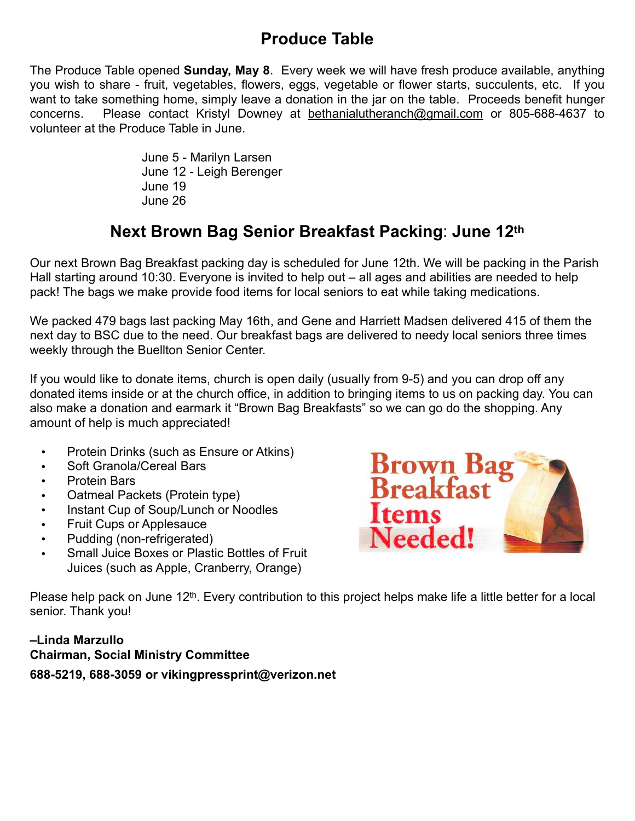# **Produce Table**

The Produce Table opened **Sunday, May 8**. Every week we will have fresh produce available, anything you wish to share - fruit, vegetables, flowers, eggs, vegetable or flower starts, succulents, etc. If you want to take something home, simply leave a donation in the jar on the table. Proceeds benefit hunger concerns. Please contact Kristyl Downey at [bethanialutheranch@gmail.com](mailto:bethanialutheranch@gmail.com) or 805-688-4637 to volunteer at the Produce Table in June.

> June 5 - Marilyn Larsen June 12 - Leigh Berenger June 19 June 26

# **Next Brown Bag Senior Breakfast Packing**: **June 12th**

Our next Brown Bag Breakfast packing day is scheduled for June 12th. We will be packing in the Parish Hall starting around 10:30. Everyone is invited to help out – all ages and abilities are needed to help pack! The bags we make provide food items for local seniors to eat while taking medications.

We packed 479 bags last packing May 16th, and Gene and Harriett Madsen delivered 415 of them the next day to BSC due to the need. Our breakfast bags are delivered to needy local seniors three times weekly through the Buellton Senior Center.

If you would like to donate items, church is open daily (usually from 9-5) and you can drop off any donated items inside or at the church office, in addition to bringing items to us on packing day. You can also make a donation and earmark it "Brown Bag Breakfasts" so we can go do the shopping. Any amount of help is much appreciated!

- Protein Drinks (such as Ensure or Atkins)
- Soft Granola/Cereal Bars
- Protein Bars
- Oatmeal Packets (Protein type)
- Instant Cup of Soup/Lunch or Noodles
- Fruit Cups or Applesauce
- Pudding (non-refrigerated)
- Small Juice Boxes or Plastic Bottles of Fruit Juices (such as Apple, Cranberry, Orange)



Please help pack on June 12<sup>th</sup>. Every contribution to this project helps make life a little better for a local senior. Thank you!

#### **–Linda Marzullo Chairman, Social Ministry Committee 688-5219, 688-3059 or vikingpressprint@verizon.net**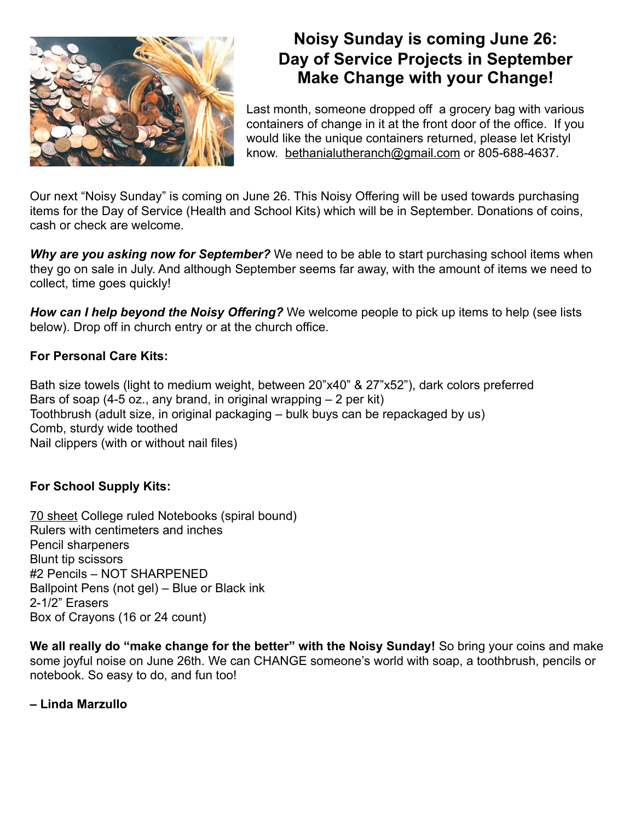

# **Noisy Sunday is coming June 26: Day of Service Projects in September Make Change with your Change!**

Last month, someone dropped off a grocery bag with various containers of change in it at the front door of the office. If you would like the unique containers returned, please let Kristyl know. [bethanialutheranch@gmail.com](mailto:bethanialutheranch@gmail.com) or 805-688-4637.

Our next "Noisy Sunday" is coming on June 26. This Noisy Offering will be used towards purchasing items for the Day of Service (Health and School Kits) which will be in September. Donations of coins, cash or check are welcome.

*Why are you asking now for September?* We need to be able to start purchasing school items when they go on sale in July. And although September seems far away, with the amount of items we need to collect, time goes quickly!

*How can I help beyond the Noisy Offering?* We welcome people to pick up items to help (see lists below). Drop off in church entry or at the church office.

#### **For Personal Care Kits:**

Bath size towels (light to medium weight, between 20"x40" & 27"x52"), dark colors preferred Bars of soap (4-5 oz., any brand, in original wrapping  $-2$  per kit) Toothbrush (adult size, in original packaging – bulk buys can be repackaged by us) Comb, sturdy wide toothed Nail clippers (with or without nail files)

#### **For School Supply Kits:**

70 sheet College ruled Notebooks (spiral bound) Rulers with centimeters and inches Pencil sharpeners Blunt tip scissors #2 Pencils – NOT SHARPENED Ballpoint Pens (not gel) – Blue or Black ink 2-1/2" Erasers Box of Crayons (16 or 24 count)

**We all really do "make change for the better" with the Noisy Sunday!** So bring your coins and make some joyful noise on June 26th. We can CHANGE someone's world with soap, a toothbrush, pencils or notebook. So easy to do, and fun too!

**– Linda Marzullo**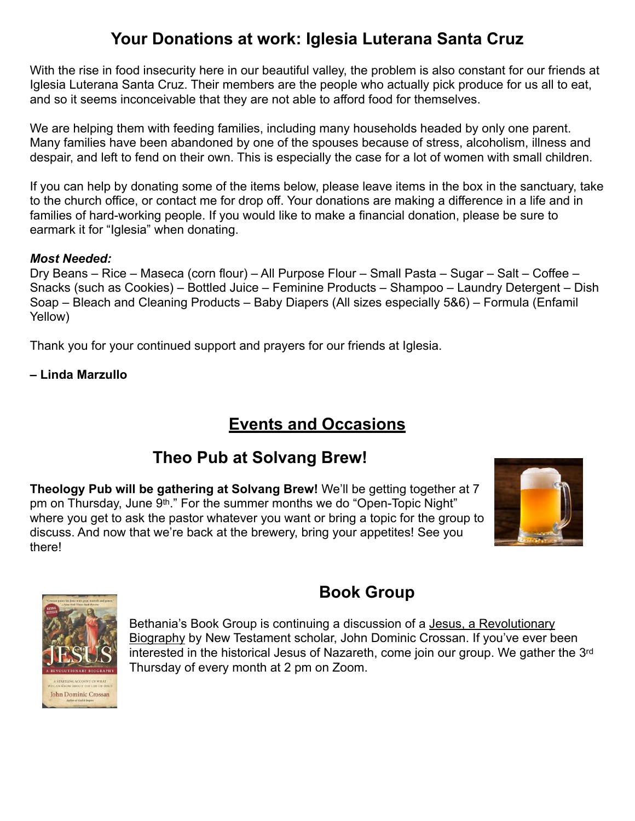# **Your Donations at work: Iglesia Luterana Santa Cruz**

With the rise in food insecurity here in our beautiful valley, the problem is also constant for our friends at Iglesia Luterana Santa Cruz. Their members are the people who actually pick produce for us all to eat, and so it seems inconceivable that they are not able to afford food for themselves.

We are helping them with feeding families, including many households headed by only one parent. Many families have been abandoned by one of the spouses because of stress, alcoholism, illness and despair, and left to fend on their own. This is especially the case for a lot of women with small children.

If you can help by donating some of the items below, please leave items in the box in the sanctuary, take to the church office, or contact me for drop off. Your donations are making a difference in a life and in families of hard-working people. If you would like to make a financial donation, please be sure to earmark it for "Iglesia" when donating.

#### *Most Needed:*

Dry Beans – Rice – Maseca (corn flour) – All Purpose Flour – Small Pasta – Sugar – Salt – Coffee – Snacks (such as Cookies) – Bottled Juice – Feminine Products – Shampoo – Laundry Detergent – Dish Soap – Bleach and Cleaning Products – Baby Diapers (All sizes especially 5&6) – Formula (Enfamil Yellow)

Thank you for your continued support and prayers for our friends at Iglesia.

**– Linda Marzullo** 

# **Events and Occasions**

## **Theo Pub at Solvang Brew!**

**Theology Pub will be gathering at Solvang Brew!** We'll be getting together at 7 pm on Thursday, June 9<sup>th</sup>." For the summer months we do "Open-Topic Night" where you get to ask the pastor whatever you want or bring a topic for the group to discuss. And now that we're back at the brewery, bring your appetites! See you there!





# **Book Group**

Bethania's Book Group is continuing a discussion of a Jesus, a Revolutionary Biography by New Testament scholar, John Dominic Crossan. If you've ever been interested in the historical Jesus of Nazareth, come join our group. We gather the 3rd Thursday of every month at 2 pm on Zoom.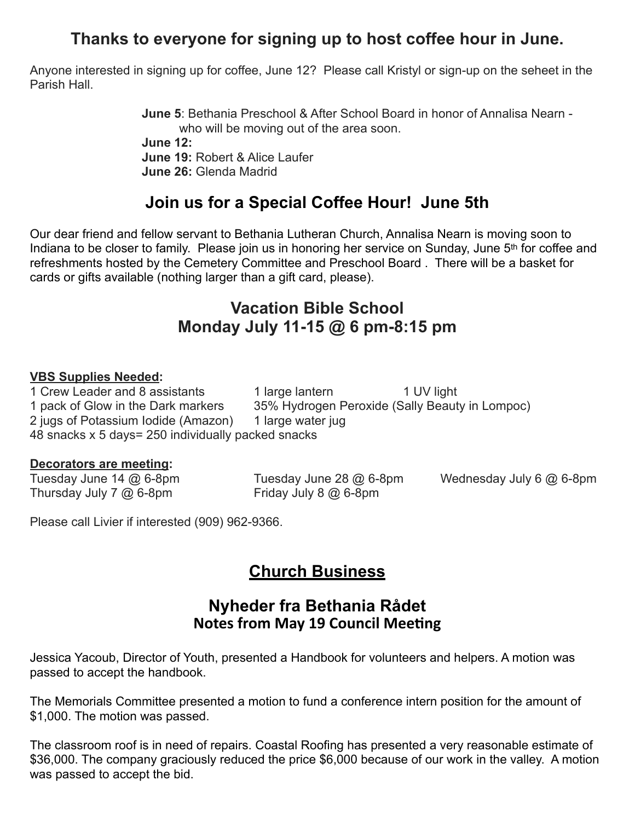# **Thanks to everyone for signing up to host coffee hour in June.**

Anyone interested in signing up for coffee, June 12? Please call Kristyl or sign-up on the seheet in the Parish Hall.

> **June 5**: Bethania Preschool & After School Board in honor of Annalisa Nearn who will be moving out of the area soon. **June 12: June 19:** Robert & Alice Laufer **June 26:** Glenda Madrid

## **Join us for a Special Coffee Hour! June 5th**

Our dear friend and fellow servant to Bethania Lutheran Church, Annalisa Nearn is moving soon to Indiana to be closer to family. Please join us in honoring her service on Sunday, June 5<sup>th</sup> for coffee and refreshments hosted by the Cemetery Committee and Preschool Board . There will be a basket for cards or gifts available (nothing larger than a gift card, please).

### **Vacation Bible School Monday July 11-15 @ 6 pm-8:15 pm**

#### **VBS Supplies Needed:**

1 Crew Leader and 8 assistants 1 large lantern 1 UV light 1 pack of Glow in the Dark markers 35% Hydrogen Peroxide (Sally Beauty in Lompoc) 2 jugs of Potassium Iodide (Amazon) 1 large water jug 48 snacks x 5 days= 250 individually packed snacks

#### **Decorators are meeting:**

Tuesday June 14 @ 6-8pm Tuesday June 28 @ 6-8pm Wednesday July 6 @ 6-8pm Thursday July 7 @ 6-8pm Friday July 8 @ 6-8pm

Please call Livier if interested (909) 962-9366.

## **Church Business**

#### **Nyheder fra Bethania Rådet Notes from May 19 Council Meeting**

Jessica Yacoub, Director of Youth, presented a Handbook for volunteers and helpers. A motion was passed to accept the handbook.

The Memorials Committee presented a motion to fund a conference intern position for the amount of \$1,000. The motion was passed.

The classroom roof is in need of repairs. Coastal Roofing has presented a very reasonable estimate of \$36,000. The company graciously reduced the price \$6,000 because of our work in the valley. A motion was passed to accept the bid.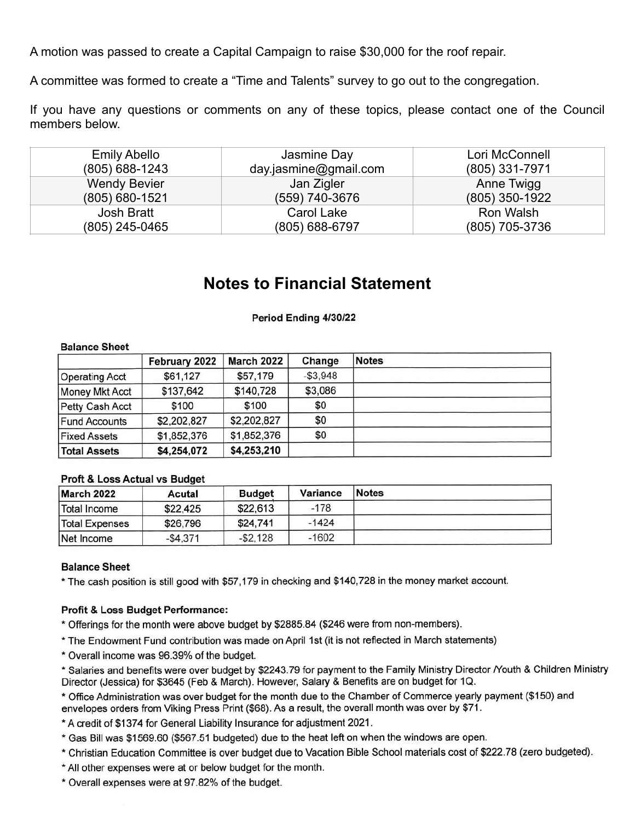A motion was passed to create a Capital Campaign to raise \$30,000 for the roof repair.

A committee was formed to create a "Time and Talents" survey to go out to the congregation.

If you have any questions or comments on any of these topics, please contact one of the Council members below.

| <b>Emily Abello</b> | Jasmine Day           | Lori McConnell   |
|---------------------|-----------------------|------------------|
| $(805) 688 - 1243$  | day.jasmine@gmail.com | (805) 331-7971   |
| <b>Wendy Bevier</b> | Jan Zigler            | Anne Twigg       |
| $(805)$ 680-1521    | (559) 740-3676        | $(805)$ 350-1922 |
| Josh Bratt          | Carol Lake            | Ron Walsh        |
| (805) 245-0465      | (805) 688-6797        | (805) 705-3736   |

#### **Notes to Financial Statement**

#### Period Ending 4/30/22

|                       | February 2022 | <b>March 2022</b> | Change     | <b>Notes</b> |  |  |  |
|-----------------------|---------------|-------------------|------------|--------------|--|--|--|
| <b>Operating Acct</b> | \$61,127      | \$57,179          | $- $3,948$ |              |  |  |  |
| Money Mkt Acct        | \$137,642     | \$140,728         | \$3,086    |              |  |  |  |
| Petty Cash Acct       | \$100         | \$100             | \$0        |              |  |  |  |
| <b>Fund Accounts</b>  | \$2,202,827   | \$2,202,827       | \$0        |              |  |  |  |
| <b>Fixed Assets</b>   | \$1,852,376   | \$1,852,376       | \$0        |              |  |  |  |
| <b>Total Assets</b>   | \$4,254,072   | \$4,253,210       |            |              |  |  |  |

#### **Balance Sheet**

#### Proft & Loss Actual vs Budget

| March 2022            | Acutal    | <b>Budget</b> | Variance | <b>Notes</b> |  |
|-----------------------|-----------|---------------|----------|--------------|--|
| Total Income          | \$22,425  | \$22,613      | $-178$   |              |  |
| <b>Total Expenses</b> | \$26,796  | \$24,741      | $-1424$  |              |  |
| Net Income            | $-$4.371$ | $-$ \$2.128   | $-1602$  |              |  |

#### **Balance Sheet**

\* The cash position is still good with \$57,179 in checking and \$140,728 in the money market account.

#### Profit & Loss Budget Performance:

\* Offerings for the month were above budget by \$2885.84 (\$246 were from non-members).

- \* The Endowment Fund contribution was made on April 1st (it is not reflected in March statements)
- \* Overall income was 96.39% of the budget.

\* Salaries and benefits were over budget by \$2243.79 for payment to the Family Ministry Director Nouth & Children Ministry Director (Jessica) for \$3645 (Feb & March). However, Salary & Benefits are on budget for 1Q.

\* Office Administration was over budget for the month due to the Chamber of Commerce yearly payment (\$150) and envelopes orders from Viking Press Print (\$68). As a result, the overall month was over by \$71.

\* A credit of \$1374 for General Liability Insurance for adjustment 2021.

\* Gas Bill was \$1569.60 (\$567.51 budgeted) due to the heat left on when the windows are open.

\* Christian Education Committee is over budget due to Vacation Bible School materials cost of \$222.78 (zero budgeted).

\* All other expenses were at or below budget for the month.

\* Overall expenses were at 97.82% of the budget.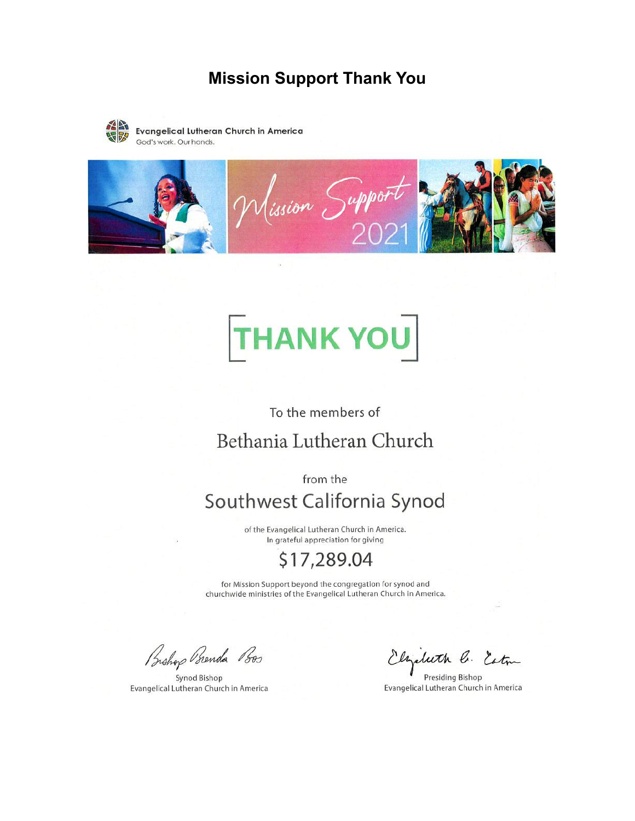#### **Mission Support Thank You**



**Evangelical Lutheran Church in America** God's work. Our hands.



# **THANK YOU**

To the members of

# Bethania Lutheran Church

from the

# Southwest California Synod

of the Evangelical Lutheran Church in America. In grateful appreciation for giving

# \$17,289.04

for Mission Support beyond the congregation for synod and churchwide ministries of the Evangelical Lutheran Church in America.

Bishop Brenda Bos

Synod Bishop Evangelical Lutheran Church in America

luth C. Estin

Presiding Bishop Evangelical Lutheran Church in America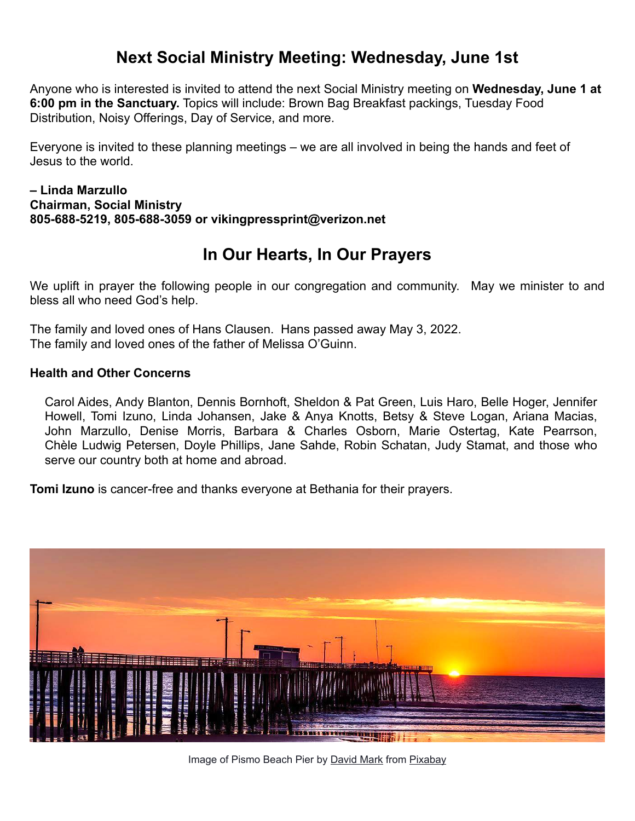## **Next Social Ministry Meeting: Wednesday, June 1st**

Anyone who is interested is invited to attend the next Social Ministry meeting on **Wednesday, June 1 at 6:00 pm in the Sanctuary.** Topics will include: Brown Bag Breakfast packings, Tuesday Food Distribution, Noisy Offerings, Day of Service, and more.

Everyone is invited to these planning meetings – we are all involved in being the hands and feet of Jesus to the world.

#### **– Linda Marzullo Chairman, Social Ministry 805-688-5219, 805-688-3059 or vikingpressprint@verizon.net**

# **In Our Hearts, In Our Prayers**

We uplift in prayer the following people in our congregation and community. May we minister to and bless all who need God's help.

The family and loved ones of Hans Clausen. Hans passed away May 3, 2022. The family and loved ones of the father of Melissa O'Guinn.

#### **Health and Other Concerns**

Carol Aides, Andy Blanton, Dennis Bornhoft, Sheldon & Pat Green, Luis Haro, Belle Hoger, Jennifer Howell, Tomi Izuno, Linda Johansen, Jake & Anya Knotts, Betsy & Steve Logan, Ariana Macias, John Marzullo, Denise Morris, Barbara & Charles Osborn, Marie Ostertag, Kate Pearrson, Chèle Ludwig Petersen, Doyle Phillips, Jane Sahde, Robin Schatan, Judy Stamat, and those who serve our country both at home and abroad.

**Tomi Izuno** is cancer-free and thanks everyone at Bethania for their prayers.



Image of Pismo Beach Pier by [David Mark](https://pixabay.com/users/12019-12019/?utm_source=link-attribution&utm_medium=referral&utm_campaign=image&utm_content=1587289) from [Pixabay](https://pixabay.com/?utm_source=link-attribution&utm_medium=referral&utm_campaign=image&utm_content=1587289)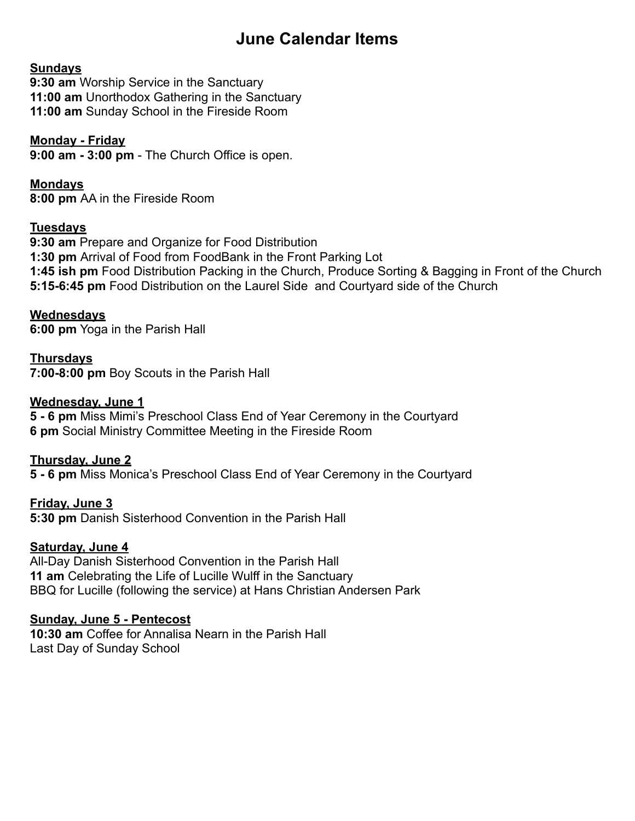# **June Calendar Items**

#### **Sundays**

**9:30 am** Worship Service in the Sanctuary **11:00 am** Unorthodox Gathering in the Sanctuary **11:00 am** Sunday School in the Fireside Room

#### **Monday - Friday**

**9:00 am - 3:00 pm** - The Church Office is open.

**Mondays 8:00 pm** AA in the Fireside Room

#### **Tuesdays**

**9:30 am** Prepare and Organize for Food Distribution **1:30 pm** Arrival of Food from FoodBank in the Front Parking Lot **1:45 ish pm** Food Distribution Packing in the Church, Produce Sorting & Bagging in Front of the Church **5:15-6:45 pm** Food Distribution on the Laurel Side and Courtyard side of the Church

**Wednesdays 6:00 pm** Yoga in the Parish Hall

**Thursdays 7:00-8:00 pm** Boy Scouts in the Parish Hall

#### **Wednesday, June 1**

**5 - 6 pm** Miss Mimi's Preschool Class End of Year Ceremony in the Courtyard **6 pm** Social Ministry Committee Meeting in the Fireside Room

**Thursday, June 2** 

**5 - 6 pm** Miss Monica's Preschool Class End of Year Ceremony in the Courtyard

**Friday, June 3 5:30 pm** Danish Sisterhood Convention in the Parish Hall

#### **Saturday, June 4**

All-Day Danish Sisterhood Convention in the Parish Hall **11 am** Celebrating the Life of Lucille Wulff in the Sanctuary BBQ for Lucille (following the service) at Hans Christian Andersen Park

#### **Sunday, June 5 - Pentecost**

**10:30 am** Coffee for Annalisa Nearn in the Parish Hall Last Day of Sunday School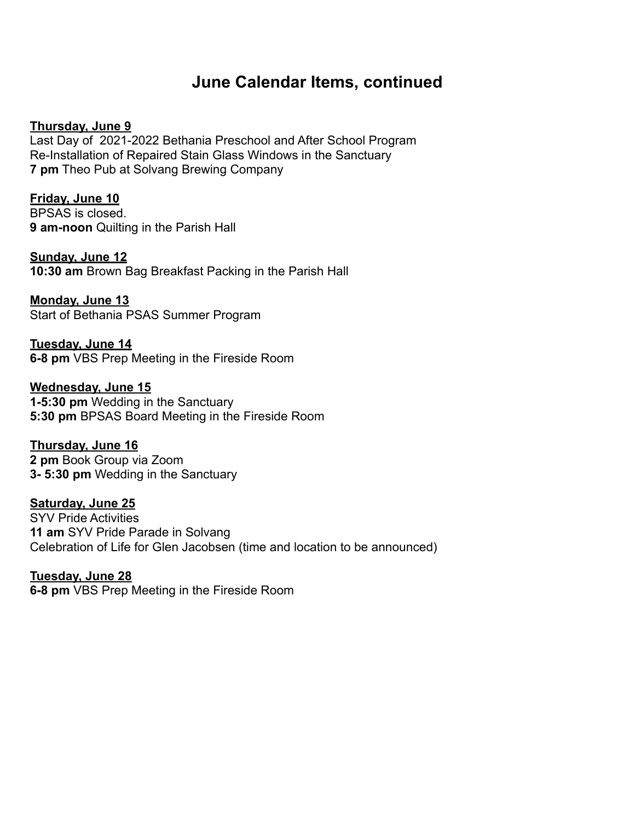## **June Calendar Items, continued**

#### **Thursday, June 9**

Last Day of 2021-2022 Bethania Preschool and After School Program Re-Installation of Repaired Stain Glass Windows in the Sanctuary **7 pm** Theo Pub at Solvang Brewing Company

**Friday, June 10**  BPSAS is closed.

**9 am-noon** Quilting in the Parish Hall

**Sunday, June 12 10:30 am** Brown Bag Breakfast Packing in the Parish Hall

**Monday, June 13**  Start of Bethania PSAS Summer Program

**Tuesday, June 14 6-8 pm** VBS Prep Meeting in the Fireside Room

**Wednesday, June 15 1-5:30 pm** Wedding in the Sanctuary **5:30 pm** BPSAS Board Meeting in the Fireside Room

**Thursday, June 16 2 pm** Book Group via Zoom **3- 5:30 pm** Wedding in the Sanctuary

**Saturday, June 25**  SYV Pride Activities **11 am** SYV Pride Parade in Solvang Celebration of Life for Glen Jacobsen (time and location to be announced)

**Tuesday, June 28 6-8 pm** VBS Prep Meeting in the Fireside Room